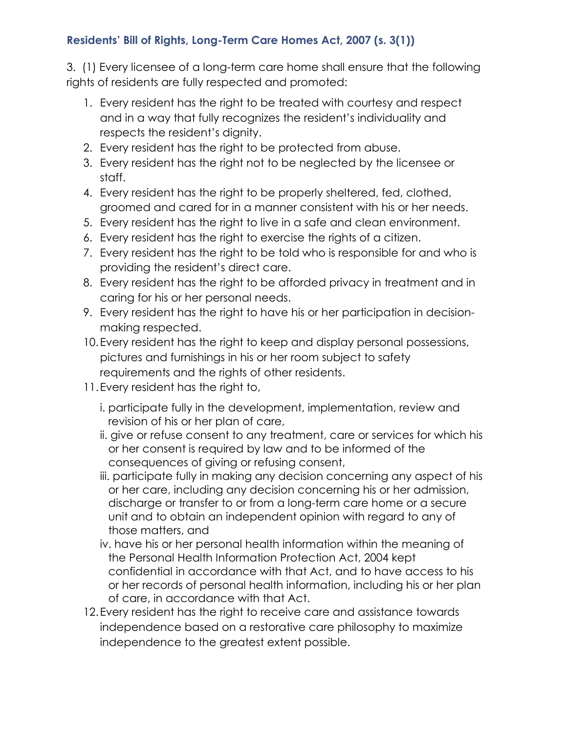## **Residents' Bill of Rights, Long-Term Care Homes Act, 2007 (s. 3(1))**

3. (1) Every licensee of a long-term care home shall ensure that the following rights of residents are fully respected and promoted:

- 1. Every resident has the right to be treated with courtesy and respect and in a way that fully recognizes the resident's individuality and respects the resident's dignity.
- 2. Every resident has the right to be protected from abuse.
- 3. Every resident has the right not to be neglected by the licensee or staff.
- 4. Every resident has the right to be properly sheltered, fed, clothed, groomed and cared for in a manner consistent with his or her needs.
- 5. Every resident has the right to live in a safe and clean environment.
- 6. Every resident has the right to exercise the rights of a citizen.
- 7. Every resident has the right to be told who is responsible for and who is providing the resident's direct care.
- 8. Every resident has the right to be afforded privacy in treatment and in caring for his or her personal needs.
- 9. Every resident has the right to have his or her participation in decisionmaking respected.
- 10.Every resident has the right to keep and display personal possessions, pictures and furnishings in his or her room subject to safety requirements and the rights of other residents.
- 11.Every resident has the right to,
	- i. participate fully in the development, implementation, review and revision of his or her plan of care,
	- ii. give or refuse consent to any treatment, care or services for which his or her consent is required by law and to be informed of the consequences of giving or refusing consent,
	- iii. participate fully in making any decision concerning any aspect of his or her care, including any decision concerning his or her admission, discharge or transfer to or from a long-term care home or a secure unit and to obtain an independent opinion with regard to any of those matters, and
	- iv. have his or her personal health information within the meaning of the Personal Health Information Protection Act, 2004 kept confidential in accordance with that Act, and to have access to his or her records of personal health information, including his or her plan of care, in accordance with that Act.
- 12.Every resident has the right to receive care and assistance towards independence based on a restorative care philosophy to maximize independence to the greatest extent possible.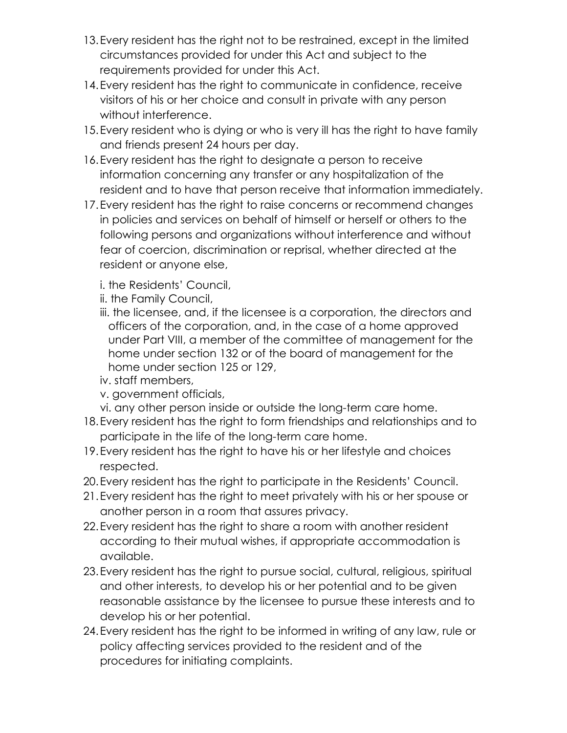- 13.Every resident has the right not to be restrained, except in the limited circumstances provided for under this Act and subject to the requirements provided for under this Act.
- 14.Every resident has the right to communicate in confidence, receive visitors of his or her choice and consult in private with any person without interference.
- 15.Every resident who is dying or who is very ill has the right to have family and friends present 24 hours per day.
- 16.Every resident has the right to designate a person to receive information concerning any transfer or any hospitalization of the resident and to have that person receive that information immediately.
- 17.Every resident has the right to raise concerns or recommend changes in policies and services on behalf of himself or herself or others to the following persons and organizations without interference and without fear of coercion, discrimination or reprisal, whether directed at the resident or anyone else,
	- i. the Residents' Council,
	- ii. the Family Council,
	- iii. the licensee, and, if the licensee is a corporation, the directors and officers of the corporation, and, in the case of a home approved under Part VIII, a member of the committee of management for the home under section 132 or of the board of management for the home under section 125 or 129,
	- iv. staff members,
	- v. government officials,
	- vi. any other person inside or outside the long-term care home.
- 18.Every resident has the right to form friendships and relationships and to participate in the life of the long-term care home.
- 19.Every resident has the right to have his or her lifestyle and choices respected.
- 20.Every resident has the right to participate in the Residents' Council.
- 21.Every resident has the right to meet privately with his or her spouse or another person in a room that assures privacy.
- 22.Every resident has the right to share a room with another resident according to their mutual wishes, if appropriate accommodation is available.
- 23.Every resident has the right to pursue social, cultural, religious, spiritual and other interests, to develop his or her potential and to be given reasonable assistance by the licensee to pursue these interests and to develop his or her potential.
- 24.Every resident has the right to be informed in writing of any law, rule or policy affecting services provided to the resident and of the procedures for initiating complaints.